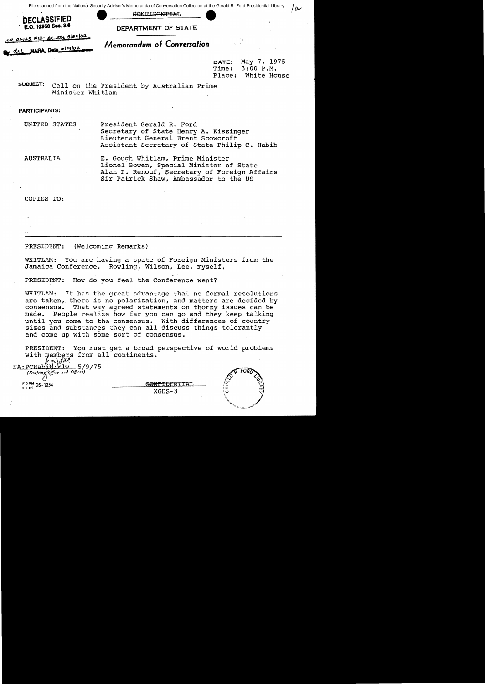File scanned from the National Security Adviser's Memoranda of Conversation Collection at the Gerald R. Ford Presidential Library CONFIDENTIAL



me 01-125 #12 at ety 5/29/02

del NARA Data 6/19/02

DEPARTMENT OF STATE

Memorandum of Conversation

May 7, 1975 DATE:  $3:00 P.M.$ Time: Place: White House

سع ا

SUBJECT: Call on the President by Australian Prime Minister Whitlam

**PARTICIPANTS:** 

**UNITED STATES** President Gerald R. Ford Secretary of State Henry A. Kissinger Lieutenant General Brent Scowcroft Assistant Secretary of State Philip C. Habib

**AUSTRALIA** 

E. Gough Whitlam, Prime Minister Lionel Bowen, Special Minister of State Alan P. Renouf, Secretary of Foreign Affairs Sir Patrick Shaw, Ambassador to the US

COPIES TO:

PRESIDENT: (Welcoming Remarks)

WHITLAM: You are having a spate of Foreign Ministers from the Jamaica Conference. Rowling, Wilson, Lee, myself.

PRESIDENT: How do you feel the Conference went?

WHITLAM: It has the great advantage that no formal resolutions are taken, there is no polarization, and matters are decided by consensus. That way agreed statements on thorny issues can be made. People realize how far you can go and they keep talking until you come to the consensus. With differences of country sizes and substances they can all discuss things tolerantly and come up with some sort of consensus.

You must get a broad perspective of world problems PRESIDENT: with members from all continents.  $\ln 100$ 

| EA: PCHab <sub>2</sub> H: Fiw 5/9/75<br>(Drafting Office and Officer) |          |                            |  |
|-----------------------------------------------------------------------|----------|----------------------------|--|
| $_{2-65}^{FORM}$ DS-1254                                              | $XGDS-3$ | <u>ت. م</u><br>لدة:<br>(ئ) |  |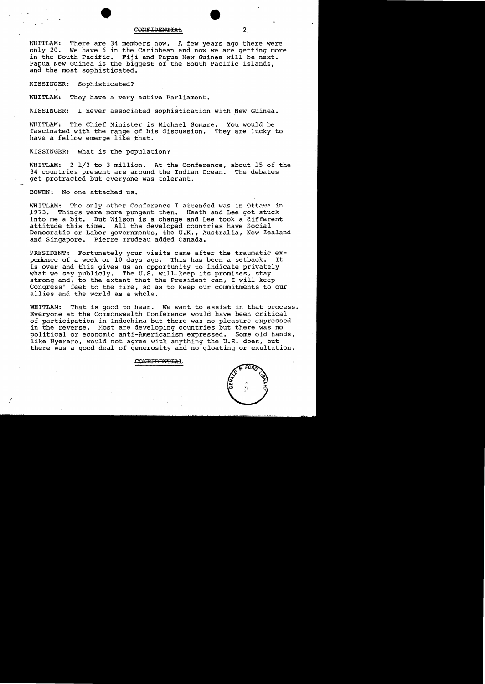### CONFIDENTIAL

WHITLAM: There are 34 members now. A few years ago there were only 20. We have 6 in the Caribbean and now we are getting more in the South Pacific. Fiji and Papua New Guinea will be next. Papua New Guinea *is* the biggest of the South Pacific islands, and the most sophisticated.

KISSINGER: Sophisticated?

WHITLAM: They have a very active Parliament.

KISSINGER: I never associated sophistication with New Guinea.

WHITLAM: The,Chief Minister *is* Michael Somare. You would be fascinated with the range of his discussion. They are lucky to have a fellow emerge like that.

KISSINGER: What *is* the population?

WHITLAM: 2 1/2 to 3 million. At the Conference, about 15 of the 34 countries present are around the Indian Ocean. The debates 34 countries present are around the Indian Ocean. get protracted but everyone was tolerant.

BOWEN: No one attacked us.

I

WHITLAM: The only other Conference I attended was in Ottawa in 1973. Things were more pungent then. Heath and Lee got stuck 1973. Things were more pungent then. Heath and Lee got stuck<br>into me a bit. But Wilson is a change and Lee took a different into me a bit. But Wilson is a change and Lee took a different attitude this time. All the developed countries have Social All the developed countries have Social Democratic or Labor governments, the U.K., Australia, New Zealand<br>and Singapore. Pierre Trudeau added Canada. Pierre Trudeau added Canada.

PRESIDENT: Fortunately your visits came after the traumatic ex-<br>perience of a week or 10 days ago. This has been a setback. It perience of a week or 10 days ago. This has been a setback. is over and this gives us an opportunity to indicate privately what we say publicly. The U.S. will keep its promises, stay strong and, to the extent that the President can, I will keep Congress' feet to the fire, so as to keep our commitments to our allies and the world as a whole.

WHITLAM: That is good to hear. We want to assist in that process. Everyone at the Commonwealth Conference would have been critical of participation in Indochina but there was no pleasure expressed in the reverse. Most are developing countries but there was no political or economic anti-Americanism expressed. Some old hands, like Nyerere, would not agree with anything the U.S. does, but there was a good deal of generosity and no gloating or exultation.

### CONFIDENTIAL

 $\mathbf{z}$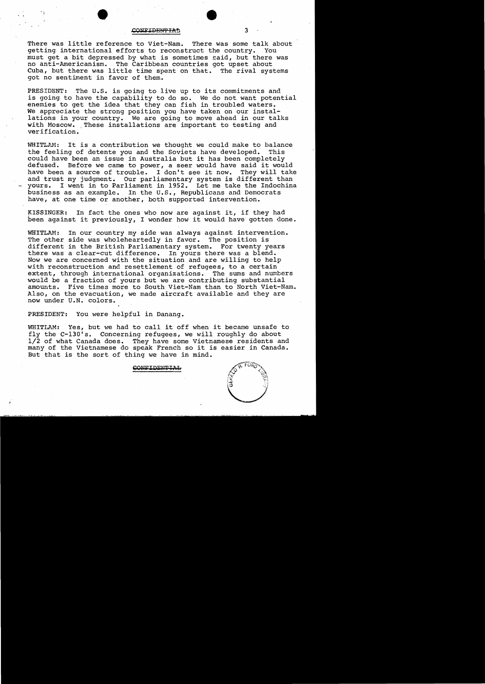#### ONFIDENTIAL

-I

There was little reference to Viet-Nam. There was some talk about getting international efforts to reconstruct the country. You getting international efforts to reconstruct the country. must get a bit depressed by what is sometimes said, but there was no anti-Americanism. The Caribbean countries got upset about Cuba, but there was little time spent on that. The rival systems got no sentiment in favor of them.

PRESIDENT: The U.S. is going to live up to its commitments and is going to have the capability to do so. We do not want potential enemies to get the idea that they can fish in troubled waters. We appreciate the strong position you have taken on our installations in your country. We are going to move ahead in our talks with Moscow. These installations are important to testing and verification.

WHITLAM: It is a contribution we thought we could make to balance<br>the feeling of detente you and the Soviets have developed. This the feeling of detente you and the Soviets have developed. could have been an issue in Australia but it has been completely defused. Before we came to power, a seer would have said it would have been a source of trouble. I don't see it now. They will take and trust my judgment. Our parliamentary system is different than<br>yours. I went in to Parliament in 1952. Let me take the Indochina I went in to Parliament in 1952. Let me take the Indochina business as an example. In the U.S., Republicans and Democrats have, at one time or another, both supported intervention.

KISSINGER: In fact the ones who now are against it, if they had been against it previously, I wonder how it would have gotten done.

WHITLAM: In our country my side was always against intervention. The other side was wholeheartedly in favor. The position is different in the British Parliamentary system. For twenty years there was a clear-cut difference. In yours there was a blend. Now we are concerned with the situation and are willing to help with reconstruction and resettlement of refugees, to a certain extent, through international organizations. The sums and numbers would be a fraction of yours but we are contributing substantial amounts. Five times more to South Viet-Nam than to North Viet-Nam. Also, on the evacuation, we made aircraft available and they are now under U.N. colors.

PRESIDENT: You were helpful in Danang.

WHITLAM: Yes, but we had to call it off when it became unsafe to fly the C-130's. Concerning refugees, we will roughly do about 1/2 of what Canada does. They have some Vietnamese residents and many of the Vietnamese do speak French so it is easier in Canada. But that is the sort of thing we have in mind.

**CONFIDENTIAL** 



3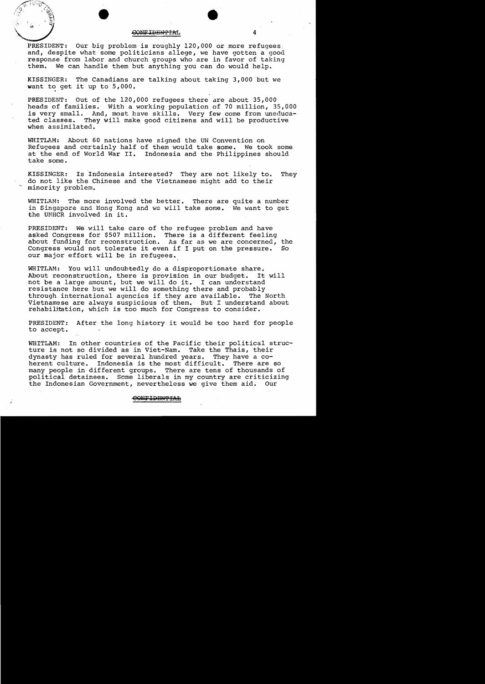### GONFIDENTIAL

PRESIDENT: Our big problem is roughly 120,000 or more refugees, and, despite what some politicians allege, we have gotten a good response from labor and church groups who are in favor of taking<br>them. We can handle them but anything you can do would help. We can handle them but anything you can do would help.

KISSINGER: The Canadians are talking about taking 3,000 but we want to get it up to 5,000.

PRESIDENT: Out of the 120,000 refugees there are about 35,000 heads of families. With a working population of 70 million, 35,000 is very small. And, most have skills. Very few come from uneduca-<br>ted classes. They will make good citizens and will be productive They will make good citizens and will be productive when assimilated.

WHITLAM: About 60 nations have signed the UN Convention on Refugees and certainly half of them would take some. We took some at the end of World War II. Indonesia and the Philippines should take some.

KISSINGER: Is Indonesia interested? They are not likely to. They do not like the Chinese and the Vietnamese might add to their minority problem.

WHITLAM: The more involved the better. There are quite a number in Singapore and Hong Kong and We will take some. We want to get the UNHCR involved in it.

PRESIDENT: We will take care of the refugee problem and have asked Congress for \$507 million. There is a different feeling about funding for reconstruction. As far as we are concerned, the Congress would not tolerate it even if I put on the pressure. So Congress would not tolerate it even if I put on the pressure. our major effort will be in refugees.

WHITLAM: You will undoubtedly do a disproportionate share. About reconstruction, there is provision in our budget. It will not be a large amount, but we will do it. I can understand resistance here but we will do something there and probably through international agencies if they are available. The North Vietnamese are always suspicious of them. But I understand about rehabilitation, which is too much for Congress to consider.

PRESIDENT: After the long history it would be too hard for people to accept.

WHITLAM: In other countries of the Pacific their political structure is not so divided as in Viet-Nam. Take the Thais, their dynasty has ruled for several hundred years. They have a coherent culture. Indonesia is the most difficult. many people in different groups. There are tens of thousands of political detainees. Some liberals in my country are criticizing the Indonesian Government, nevertheless we give them aid. Our

### e<del>onfidential</del>

•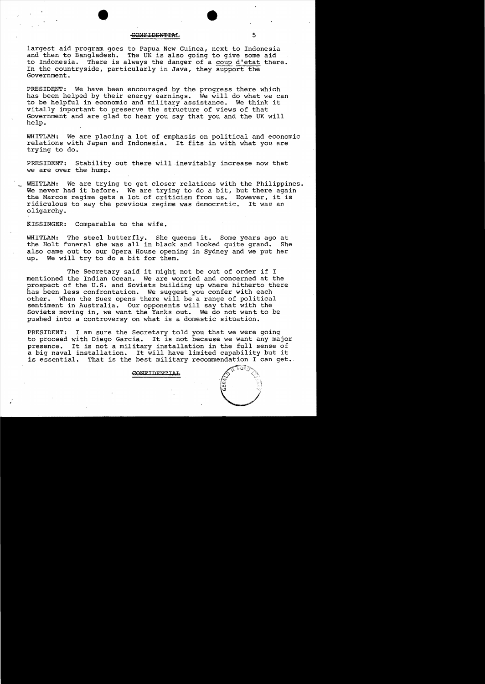### CONFIDENTIAL

largest aid program goes to Papua New Guinea, next to Indonesia<br>and then to Bangladesh. The UK is also going to give some aid and then to Bangladesh. The UK is also going to give some aid to Indonesia. There is always the danger of a coup d'etat the There is always the danger of a coup d'etat there. In the countryside, particularly in Java, they support the Government.

PRESIDENT: We have been encouraged by the progress there which has been helped by their energy earnings. We will do what we can to be helpful in economic and military assistance. We think it vitally important to preserve the structure of views of that Government and are glad to hear you say that you and the UK will help.

WHITLAM: We are placing a lot of emphasis on political and economic relations with Japan and Ihdonesia. It fits in with what you are trying to do.

PRESIDENT: Stability out there will inevitably increase now that we are over the hump.

WHITLAM: We are trying to get closer relations with the Philippines. We never had it before. We are trying to do a bit, but there again the Marcos regime gets a lot of criticism from us. However, it is ridiculous to say the previous regime was democratic. It was an ridiculous to say the previous reqime was democratic. oligarchy.

KISSINGER: Comparable to the wife.

WHITLAM: The steel butterfly. She queens it. Some years ago at the Holt funeral she was all in black and looked quite grand. She the Holt funeral she was all in black and looked quite grand. also came out to our Opera House opening in Sydney and we put her up. We will try to do a bit for them.

The Secretary said it might not be out of order if I mentioned the Indian Ocean. We are worried and concerned at the prospect of the U.S. and Soviets building up where hitherto there has been less confrontation. We suggest you confer with each other. When the Suez opens there will be a range of political When the Suez opens there will be a range of political sentiment in Australia. Our opponents will say that with the Soviets moving in, we want the Yanks out. We do not want to be pushed into a controversy on what is a domestic situation.

PRESIDENT: I am sure the Secretary told you that we were going to proceed with Diego Garcia. It is not because we want any major It is not a military installation in the full sense of a big naval installation. It will have limited capability but it That is the best military recommendation I can get.

### CONFIDENTIAL

5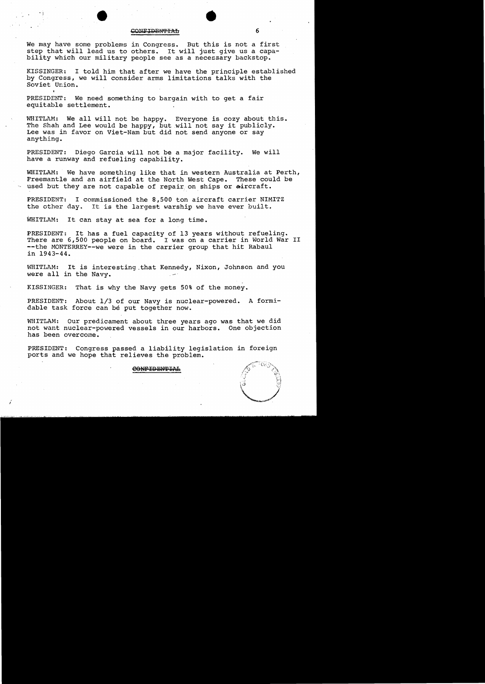# "<br>CONFIDENTIAL 6

We may have some problems in Congress. But this is not a first step that will lead us to others. It will just give us a capability which our military people see as a necezsary backstop.

KISSINGER: I told him that after we have the principle established by Congress, we will consider arms limitations talks with the Soviet Union.

PRESIDENT: We need something to bargain with to get a fair equitable settlement.

WHITLAM: We all will not be happy. Everyone is cozy about this. The Shah and Lee would be happy, but will not say it publicly. Lee was in favor on Viet-Nam but did not send anyone or say anything.

PRESIDENT: Diego Garcia will not be a major facility. We will have a runway and refueling capability.

WHITLAM: We have something like that in western Australia at Perth, Freemantle and an airfield at the North West Cape. These could be used but they are not capable of repair on ships or aircraft.

PRESIDENT: I commissioned the 8,500 ton aircraft carrier NIMITZ the other day. It is the largest warship we have ever built.

WHITLAM: It can stay at sea for a long time.

/

PRESIDENT: It has a fuel capacity of 13 years without refueling.<br>There are 6,500 people on board. I was on a carrier in World War II --the MONTERREY--we were in the carrier group that hit Rabaul in 1943-44.

WHITLAM: It is interesting that Kennedy, Nixon, Johnson and you were all in the Navy.

KISSINGER: That is why the Navy gets 50% of the money.

PRESIDENT: About 1/3 of our Navy is nuclear-powered. A formidable task force can be put together now.

WHITLAM: Our predicament about three years ago was that we did not want nuclear-powered vessels in our harbors. One objection has been overcome.

PRESIDENT: Congress passed a liability legislation in foreign ports and we hope that relieves the problem.

CONFIDENTIAL

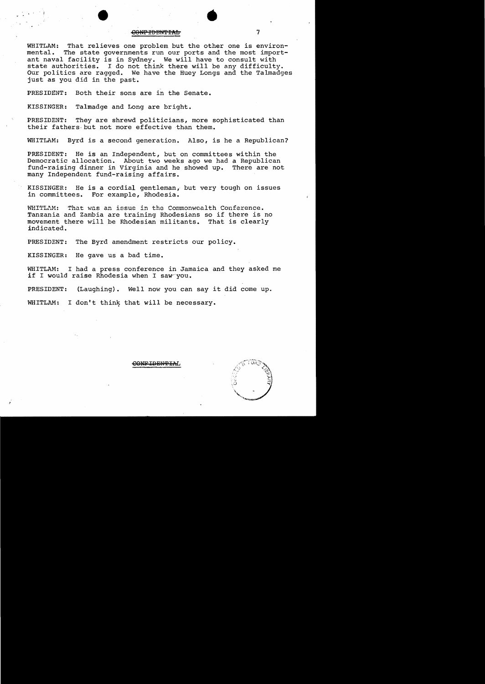### eo<del>np iddwyfai.</del>

WHITLAM: That relieves one problem but the other one is environ-<br>mental. The state governments run our ports and the most import-The state governments run our ports and the most important naval facility is in Sydney. We will have to consult with state authorities. I do not think there will be any difficulty. Our politics are ragged. We have the Huey Longs and the Talmadges just as you did in the past.

PRESIDENT: Both their sons are in the Senate.

KISSINGER: Talmadge and Long are bright.

PRESIDENT: They are shrewd politicians, more sophisticated than their fathers· but not more effective than them.

WHITLAM: Byrd is a second generation. Also, is he a Republican?

PRESIDENT: He is an Independent, but on committees within the Democratic allocation. About two weeks ago we had a Republican fund-raising dinner in Virginia and he showed up. There are not many Independent fund-raising affairs.

KISSINGER: He is a cordial gentleman, but very tough on issues in committees. For example, Rhodesia.

WHITLAM: That was an issue in the Commonwealth Conference. Tanzania and Zambia are training Rhodesians so if there is no movement there will be Rhodesian militants. That is clearly indicated.

PREsiDENT: The Byrd amendment restricts our policy.

KISSINGER: He gave us a bad time.

WHITLAM: I had a press conference in Jamaica and they asked me if I would raise Rhodesia when I saw you.

PRESIDENT: (Laughing). Well now you can say it did come up.

WHITLAM: I don't think that will be necessary.

CONEIDENTIA

•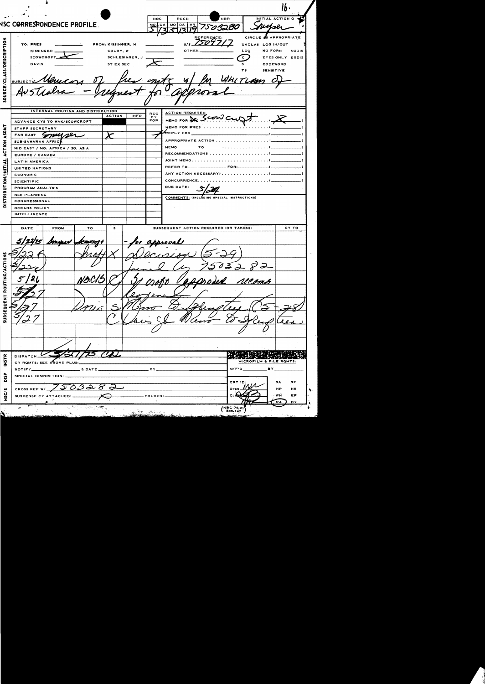$\overline{p}$ RECD NAR INITIAL ACTION C **NSC CORRESPONDENCE PROFILE** MO DA MO DA HR 7503280  $75097/7$ CIRCLE **SAPPROPRIATE** PTION TO: PRES FROM: KISSINGER, H UNCLAS LOG IN/OUT Lou KISSINGER. COLBY, W **OTHER** NO FORN **NODIS SOURCE/CLASS/DESCRI** SCHLESINGER, J SCOWCROFT  $\overline{\mathbf{c}}$ EYES ONLY EXDIS **DAVIS** ST EX SEC CODEWORD **SENSITIVE** TLAM **SUBJEC** INTERNAL ROUTING AND DISTRIBUTION **ACTION REQUIRED** REC<br>CY<br>FOR **INFO** ACTION Jeonic MEMO FOR **NE** ADVANCE CYS TO HAK/SCOWCROFT ASGNT MEMO FOR PRES STAFF SECRETARY REPLY FOR FAREAST Smulper APPROPRIATE ACTION . . . . . . . **SUB-SAHARAN AFRIC ACTION** мемо\_\_\_\_\_\_\_\_\_\_\_\_ то. MID EAST / NO. AFRICA / SO. ASIA RECOMMENDATIONS ........ EUROPE / CANADA DISTRIBUTION/INITIAL JOINT MEMO . . . . . . . . . . . . . . . . **LATIN AMERICA** REFER TO\_\_  $FOR$ UNITED NATIONS ANY ACTION NECESSARY?........... **ECONOMIC** CONCURRENCE. . . . . . . . . . . . **SCIENTIFIC** DUE DATE: PROGRAM ANALYSIS **NSC PLANNING** COMMENTS: (INCLUDING SPECIAL INSTRUCTIONS) CONGRESSIONAL OCEANS POLICY INTELLIGENCE CY TO DATE **FROM** TO SUBSEQUENT ACTION REQUIRED (OR TAKEN):  $\overline{\mathbf{s}}$ preval é ROUTING/ACT ロユ **SUBSEQUENT**  $71\times$ en **DISPATCH FSZ** MICROFILM & FILE ROMTS: CY ROMTS: SEE ABOVE PLUS:  $M/F'D$ BY. NOTIFY\_ & DATE. **BY** DISP SPECIAL DISPOSITION: S A SF 50 CROSS REF W/\_ **NS** HF NSC/S EP WĤ SUSPENSE CY ATTACHED: FOLDER ्रिस्तुलम् । साम**र्त्यम्**  $NBC-74-21$ <br> $833-147$ ÷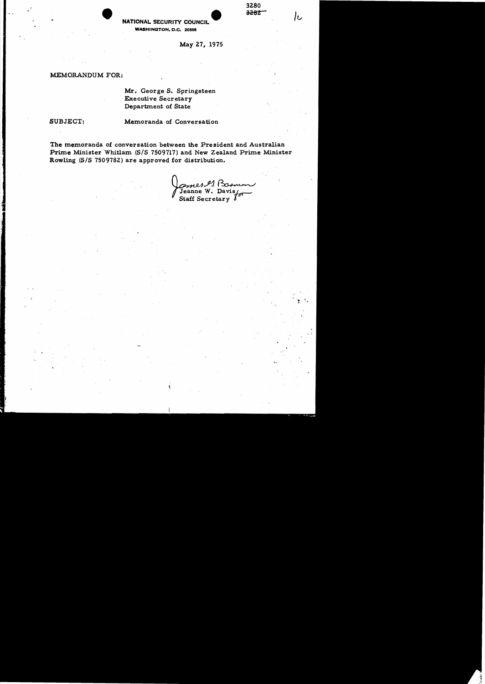# **1280**<br>**NATIONAL SECURITY COUNCIL** 2282 WASHINGTON, D.C. 20506

May Z7, 1975

3280<br><del>3282</del>

# MEMORANDUM FOR:

Mr. George S. Springsteen .Executive Secretary Department of State

':

SUBJECT: Memoranda of Conversation

The memoranda of conversation between the President and Australian Prime Minister Whitlam (S/S 7509717) and New Zealand Prime Minister Rowling (S/S 7509782) are approved for distribution.

Comes et Bosnun  $J_{\text{F}}$  Jeanne W. Davis  $f_{\text{F}}$ .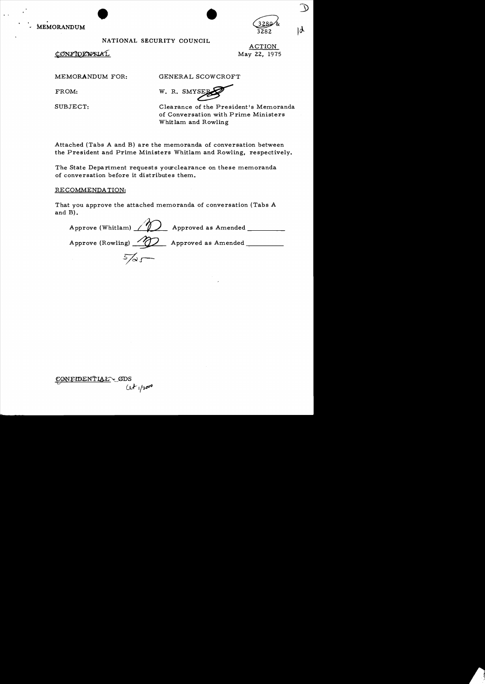**MEMORANDUM** MORANDUM

# NATIONAL SECURITY COUNCIL

CONFIDENTIAL

ACTION May 22, 1975

 $3282$  |  $\phi$ 

MEMORANDUM FOR: GENERAL SCOWCROFT

Whitlam and Rowling

FROM: W. R. SMYSEE

SUBJECT: Clearance of the President's Memoranda of Conversation with Prime Ministers

Attached (Tabs A and B) are the memoranda of conversation between the President and Prime Ministers Whitlam and Rowling, respectively.

The State Department requests yourclearance on these memoranda of conversation before it distributes them.

RECOMMENDA TION:

That you approve the attached memoranda of conversation (Tabs A and B).

Approve (Whitlam)  $\sqrt{2}$  Approved as Amended \_\_\_\_\_\_\_\_\_ Approve (Rowling)  $\bigotimes$  Approved as Amended  $5/25$ 

CONFIDENTIAL GDS